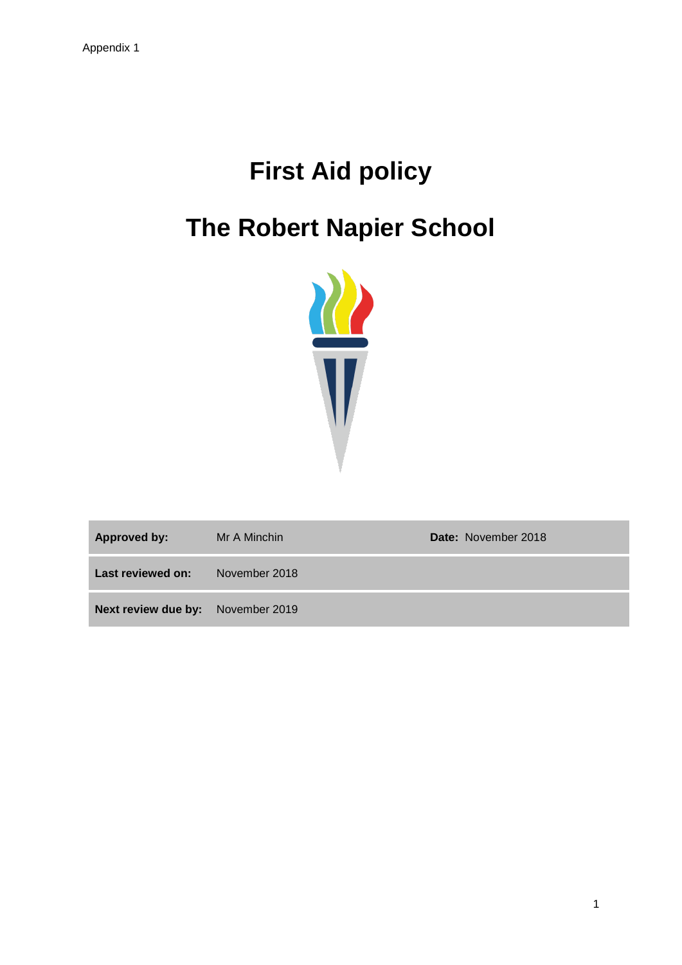# **First Aid policy**

# **The Robert Napier School**



| <b>Approved by:</b>                      | Mr A Minchin  | Date: November 2018 |
|------------------------------------------|---------------|---------------------|
| Last reviewed on:                        | November 2018 |                     |
| <b>Next review due by:</b> November 2019 |               |                     |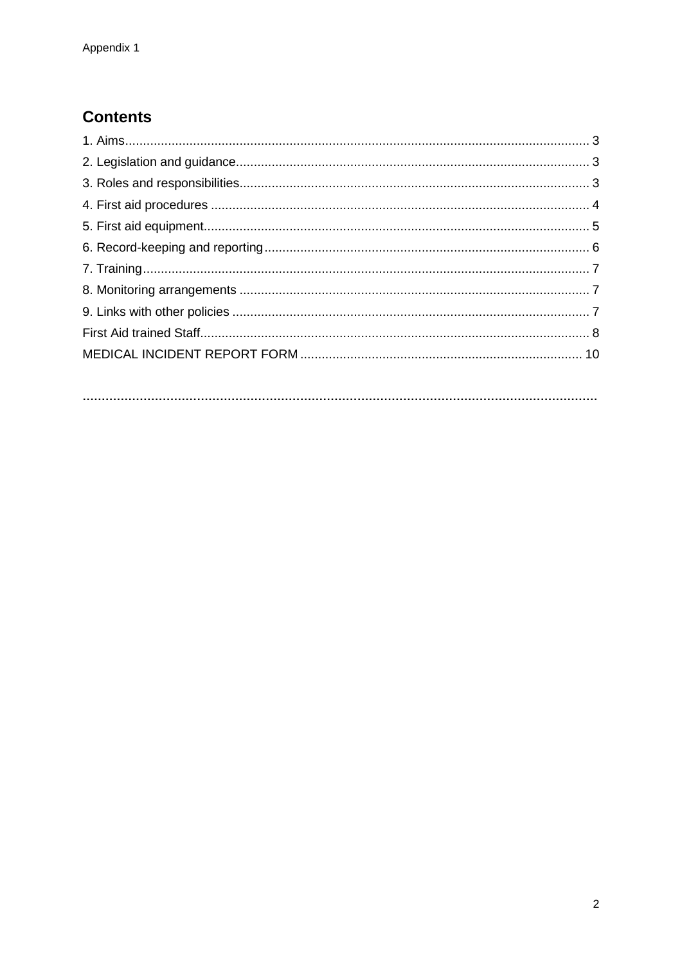# **Contents**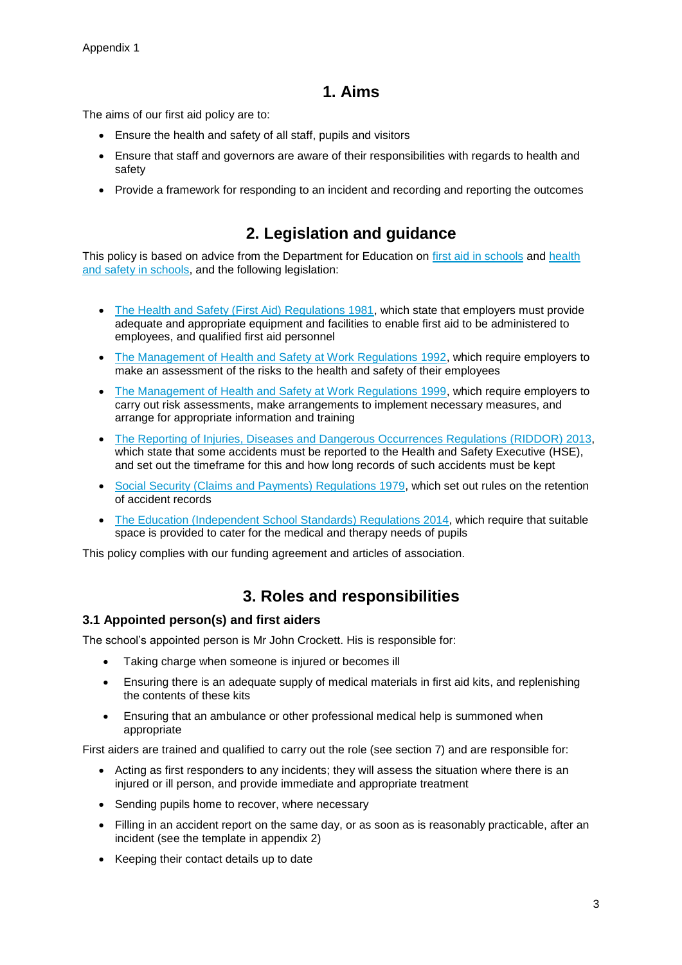## **1. Aims**

The aims of our first aid policy are to:

- Ensure the health and safety of all staff, pupils and visitors
- Ensure that staff and governors are aware of their responsibilities with regards to health and safety
- Provide a framework for responding to an incident and recording and reporting the outcomes

# **2. Legislation and guidance**

This policy is based on advice from the Department for Education on [first aid in schools](https://www.gov.uk/government/publications/first-aid-in-schools) and health [and safety in schools,](https://www.gov.uk/government/publications/health-and-safety-advice-for-schools) and the following legislation:

- [The Health and Safety \(First Aid\) Regulations 1981,](http://www.legislation.gov.uk/uksi/1981/917/regulation/3/made) which state that employers must provide adequate and appropriate equipment and facilities to enable first aid to be administered to employees, and qualified first aid personnel
- [The Management of Health and Safety at Work Regulations 1992,](http://www.legislation.gov.uk/uksi/1992/2051/regulation/3/made) which require employers to make an assessment of the risks to the health and safety of their employees
- [The Management of Health and Safety at Work Regulations 1999,](http://www.legislation.gov.uk/uksi/1999/3242/contents/made) which require employers to carry out risk assessments, make arrangements to implement necessary measures, and arrange for appropriate information and training
- [The Reporting of Injuries, Diseases and Dangerous Occurrences Regulations](http://www.legislation.gov.uk/uksi/2013/1471/schedule/1/paragraph/1/made) (RIDDOR) 2013, which state that some accidents must be reported to the Health and Safety Executive (HSE), and set out the timeframe for this and how long records of such accidents must be kept
- [Social Security \(Claims and Payments\) Regulations 1979,](http://www.legislation.gov.uk/uksi/1979/628) which set out rules on the retention of accident records
- The Education [\(Independent School Standards\) Regulations 2014,](http://www.legislation.gov.uk/uksi/2014/3283/schedule/made) which require that suitable space is provided to cater for the medical and therapy needs of pupils

This policy complies with our funding agreement and articles of association.

# **3. Roles and responsibilities**

#### **3.1 Appointed person(s) and first aiders**

The school's appointed person is Mr John Crockett. His is responsible for:

- Taking charge when someone is injured or becomes ill
- Ensuring there is an adequate supply of medical materials in first aid kits, and replenishing the contents of these kits
- Ensuring that an ambulance or other professional medical help is summoned when appropriate

First aiders are trained and qualified to carry out the role (see section 7) and are responsible for:

- Acting as first responders to any incidents; they will assess the situation where there is an injured or ill person, and provide immediate and appropriate treatment
- Sending pupils home to recover, where necessary
- Filling in an accident report on the same day, or as soon as is reasonably practicable, after an incident (see the template in appendix 2)
- Keeping their contact details up to date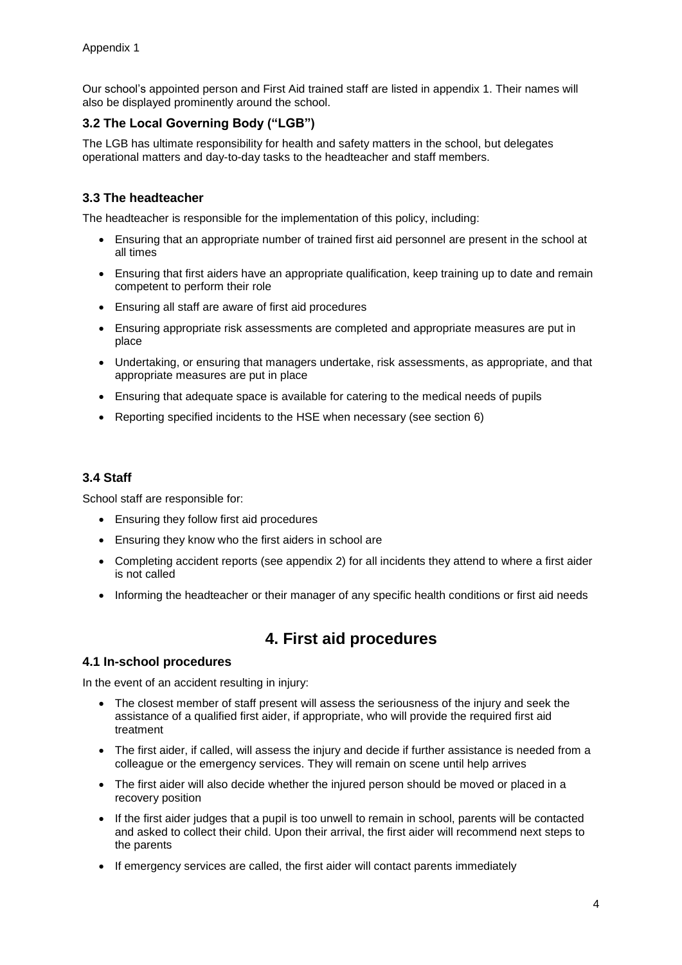Our school's appointed person and First Aid trained staff are listed in appendix 1. Their names will also be displayed prominently around the school.

#### **3.2 The Local Governing Body ("LGB")**

The LGB has ultimate responsibility for health and safety matters in the school, but delegates operational matters and day-to-day tasks to the headteacher and staff members.

#### **3.3 The headteacher**

The headteacher is responsible for the implementation of this policy, including:

- Ensuring that an appropriate number of trained first aid personnel are present in the school at all times
- Ensuring that first aiders have an appropriate qualification, keep training up to date and remain competent to perform their role
- Ensuring all staff are aware of first aid procedures
- Ensuring appropriate risk assessments are completed and appropriate measures are put in place
- Undertaking, or ensuring that managers undertake, risk assessments, as appropriate, and that appropriate measures are put in place
- Ensuring that adequate space is available for catering to the medical needs of pupils
- Reporting specified incidents to the HSE when necessary (see section 6)

#### **3.4 Staff**

School staff are responsible for:

- Ensuring they follow first aid procedures
- Ensuring they know who the first aiders in school are
- Completing accident reports (see appendix 2) for all incidents they attend to where a first aider is not called
- Informing the headteacher or their manager of any specific health conditions or first aid needs

# **4. First aid procedures**

#### **4.1 In-school procedures**

In the event of an accident resulting in injury:

- The closest member of staff present will assess the seriousness of the injury and seek the assistance of a qualified first aider, if appropriate, who will provide the required first aid treatment
- The first aider, if called, will assess the injury and decide if further assistance is needed from a colleague or the emergency services. They will remain on scene until help arrives
- The first aider will also decide whether the injured person should be moved or placed in a recovery position
- If the first aider judges that a pupil is too unwell to remain in school, parents will be contacted and asked to collect their child. Upon their arrival, the first aider will recommend next steps to the parents
- If emergency services are called, the first aider will contact parents immediately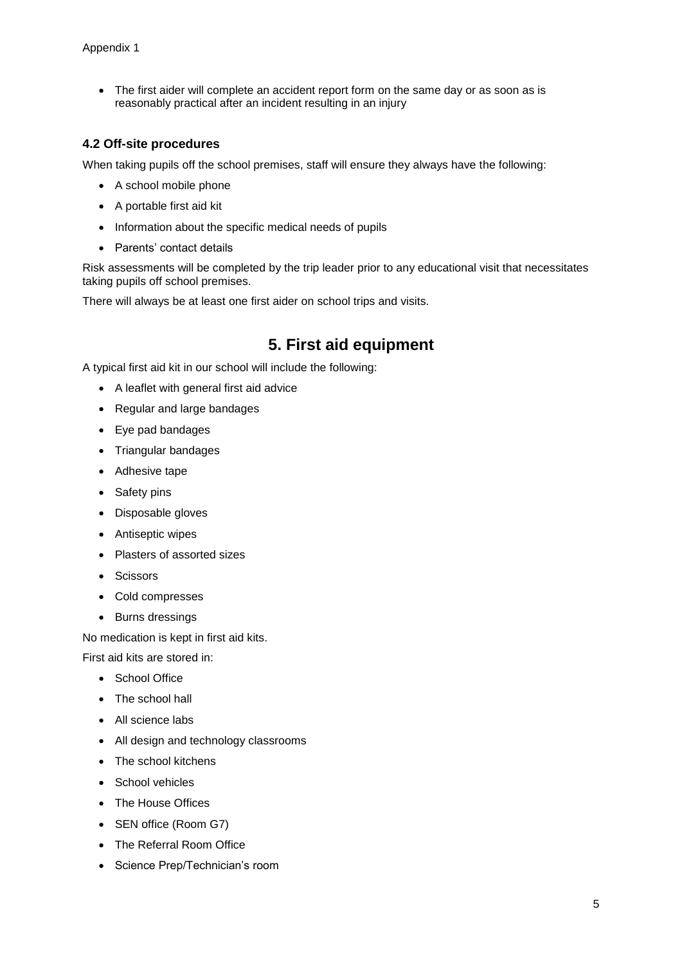The first aider will complete an accident report form on the same day or as soon as is reasonably practical after an incident resulting in an injury

#### **4.2 Off-site procedures**

When taking pupils off the school premises, staff will ensure they always have the following:

- A school mobile phone
- A portable first aid kit
- Information about the specific medical needs of pupils
- Parents' contact details

Risk assessments will be completed by the trip leader prior to any educational visit that necessitates taking pupils off school premises.

There will always be at least one first aider on school trips and visits.

# **5. First aid equipment**

A typical first aid kit in our school will include the following:

- A leaflet with general first aid advice
- Regular and large bandages
- Eye pad bandages
- Triangular bandages
- Adhesive tape
- Safety pins
- Disposable gloves
- Antiseptic wipes
- Plasters of assorted sizes
- Scissors
- Cold compresses
- Burns dressings

No medication is kept in first aid kits.

First aid kits are stored in:

- School Office
- The school hall
- All science labs
- All design and technology classrooms
- The school kitchens
- School vehicles
- The House Offices
- SEN office (Room G7)
- The Referral Room Office
- Science Prep/Technician's room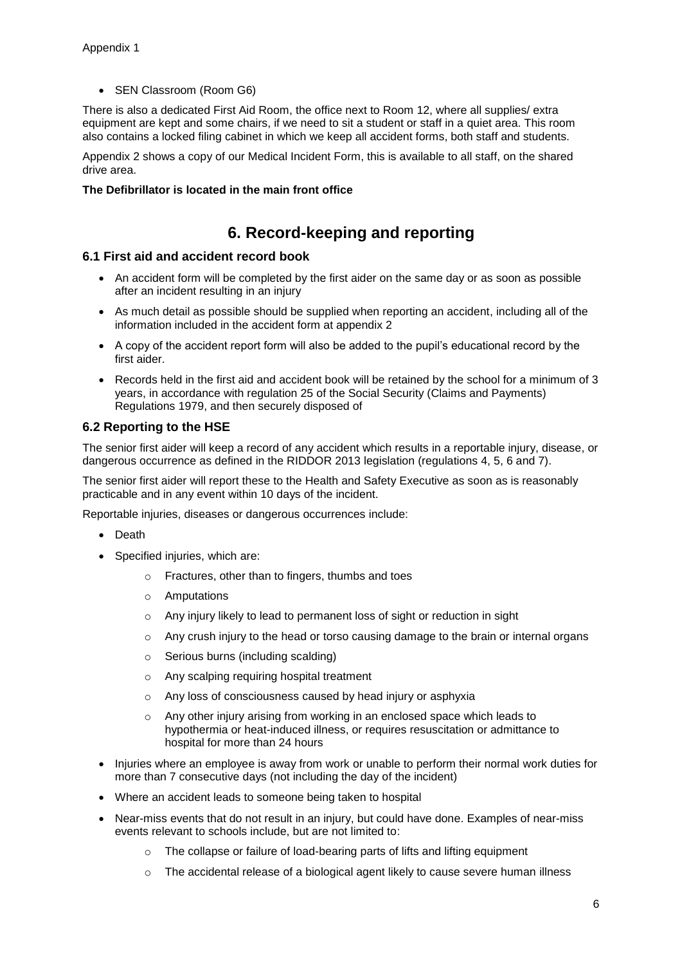• SEN Classroom (Room G6)

There is also a dedicated First Aid Room, the office next to Room 12, where all supplies/ extra equipment are kept and some chairs, if we need to sit a student or staff in a quiet area. This room also contains a locked filing cabinet in which we keep all accident forms, both staff and students.

Appendix 2 shows a copy of our Medical Incident Form, this is available to all staff, on the shared drive area.

#### **The Defibrillator is located in the main front office**

## **6. Record-keeping and reporting**

#### **6.1 First aid and accident record book**

- An accident form will be completed by the first aider on the same day or as soon as possible after an incident resulting in an injury
- As much detail as possible should be supplied when reporting an accident, including all of the information included in the accident form at appendix 2
- A copy of the accident report form will also be added to the pupil's educational record by the first aider.
- Records held in the first aid and accident book will be retained by the school for a minimum of 3 years, in accordance with regulation 25 of the Social Security (Claims and Payments) Regulations 1979, and then securely disposed of

#### **6.2 Reporting to the HSE**

The senior first aider will keep a record of any accident which results in a reportable injury, disease, or dangerous occurrence as defined in the RIDDOR 2013 legislation (regulations 4, 5, 6 and 7).

The senior first aider will report these to the Health and Safety Executive as soon as is reasonably practicable and in any event within 10 days of the incident.

Reportable injuries, diseases or dangerous occurrences include:

- Death
- Specified injuries, which are:
	- o Fractures, other than to fingers, thumbs and toes
	- o Amputations
	- o Any injury likely to lead to permanent loss of sight or reduction in sight
	- $\circ$  Any crush injury to the head or torso causing damage to the brain or internal organs
	- o Serious burns (including scalding)
	- o Any scalping requiring hospital treatment
	- o Any loss of consciousness caused by head injury or asphyxia
	- o Any other injury arising from working in an enclosed space which leads to hypothermia or heat-induced illness, or requires resuscitation or admittance to hospital for more than 24 hours
- Injuries where an employee is away from work or unable to perform their normal work duties for more than 7 consecutive days (not including the day of the incident)
- Where an accident leads to someone being taken to hospital
- Near-miss events that do not result in an injury, but could have done. Examples of near-miss events relevant to schools include, but are not limited to:
	- o The collapse or failure of load-bearing parts of lifts and lifting equipment
	- $\circ$  The accidental release of a biological agent likely to cause severe human illness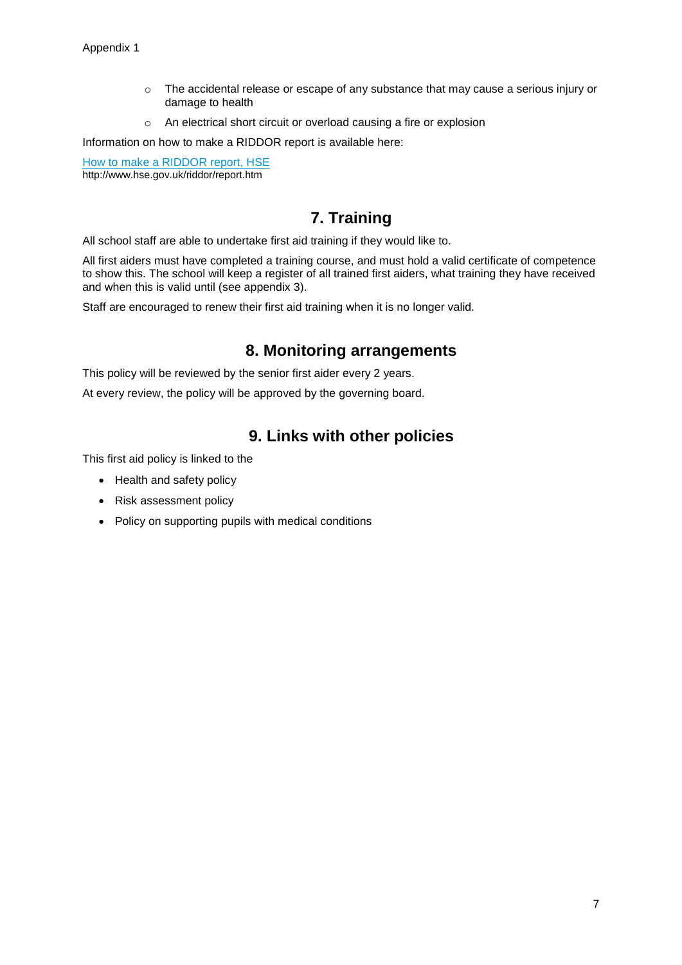- $\circ$  The accidental release or escape of any substance that may cause a serious injury or damage to health
- o An electrical short circuit or overload causing a fire or explosion

Information on how to make a RIDDOR report is available here:

[How to make a RIDDOR report, HSE](http://www.hse.gov.uk/riddor/report.htm) http://www.hse.gov.uk/riddor/report.htm

# **7. Training**

All school staff are able to undertake first aid training if they would like to.

All first aiders must have completed a training course, and must hold a valid certificate of competence to show this. The school will keep a register of all trained first aiders, what training they have received and when this is valid until (see appendix 3).

Staff are encouraged to renew their first aid training when it is no longer valid.

### **8. Monitoring arrangements**

This policy will be reviewed by the senior first aider every 2 years.

At every review, the policy will be approved by the governing board.

## **9. Links with other policies**

This first aid policy is linked to the

- Health and safety policy
- Risk assessment policy
- Policy on supporting pupils with medical conditions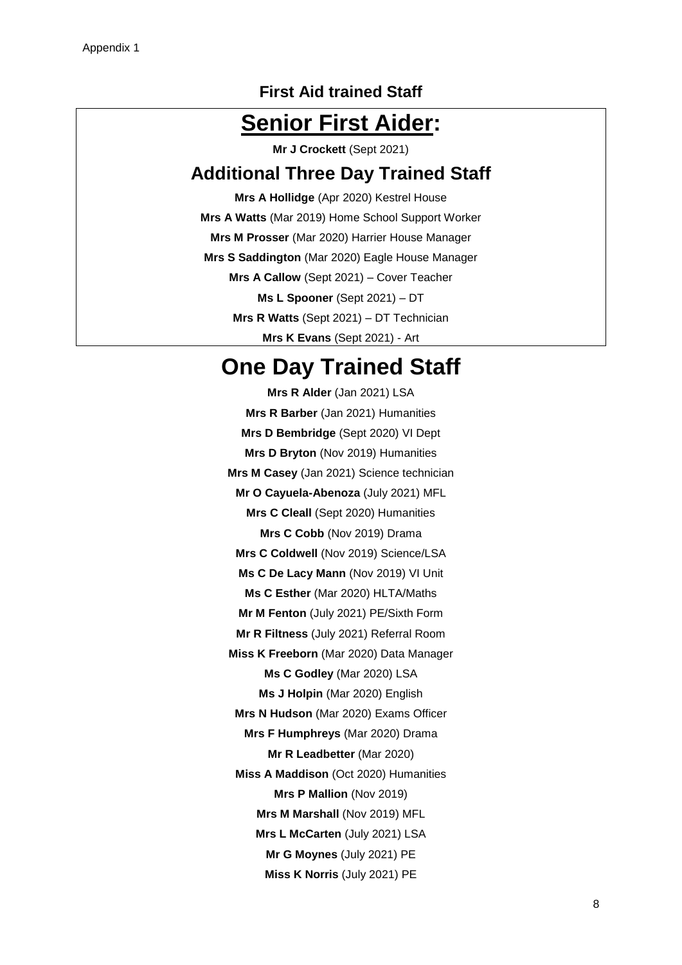### **First Aid trained Staff**

# **Senior First Aider:**

**Mr J Crockett** (Sept 2021)

# **Additional Three Day Trained Staff**

**Mrs A Hollidge** (Apr 2020) Kestrel House **Mrs A Watts** (Mar 2019) Home School Support Worker **Mrs M Prosser** (Mar 2020) Harrier House Manager **Mrs S Saddington** (Mar 2020) Eagle House Manager **Mrs A Callow** (Sept 2021) – Cover Teacher **Ms L Spooner** (Sept 2021) – DT **Mrs R Watts** (Sept 2021) – DT Technician **Mrs K Evans** (Sept 2021) - Art

# **One Day Trained Staff**

**Mrs R Alder** (Jan 2021) LSA **Mrs R Barber** (Jan 2021) Humanities **Mrs D Bembridge** (Sept 2020) VI Dept **Mrs D Bryton** (Nov 2019) Humanities **Mrs M Casey** (Jan 2021) Science technician **Mr O Cayuela-Abenoza** (July 2021) MFL **Mrs C Cleall** (Sept 2020) Humanities **Mrs C Cobb** (Nov 2019) Drama **Mrs C Coldwell** (Nov 2019) Science/LSA **Ms C De Lacy Mann** (Nov 2019) VI Unit **Ms C Esther** (Mar 2020) HLTA/Maths **Mr M Fenton** (July 2021) PE/Sixth Form **Mr R Filtness** (July 2021) Referral Room **Miss K Freeborn** (Mar 2020) Data Manager **Ms C Godley** (Mar 2020) LSA **Ms J Holpin** (Mar 2020) English **Mrs N Hudson** (Mar 2020) Exams Officer **Mrs F Humphreys** (Mar 2020) Drama **Mr R Leadbetter** (Mar 2020) **Miss A Maddison** (Oct 2020) Humanities **Mrs P Mallion** (Nov 2019) **Mrs M Marshall** (Nov 2019) MFL **Mrs L McCarten** (July 2021) LSA **Mr G Moynes** (July 2021) PE **Miss K Norris** (July 2021) PE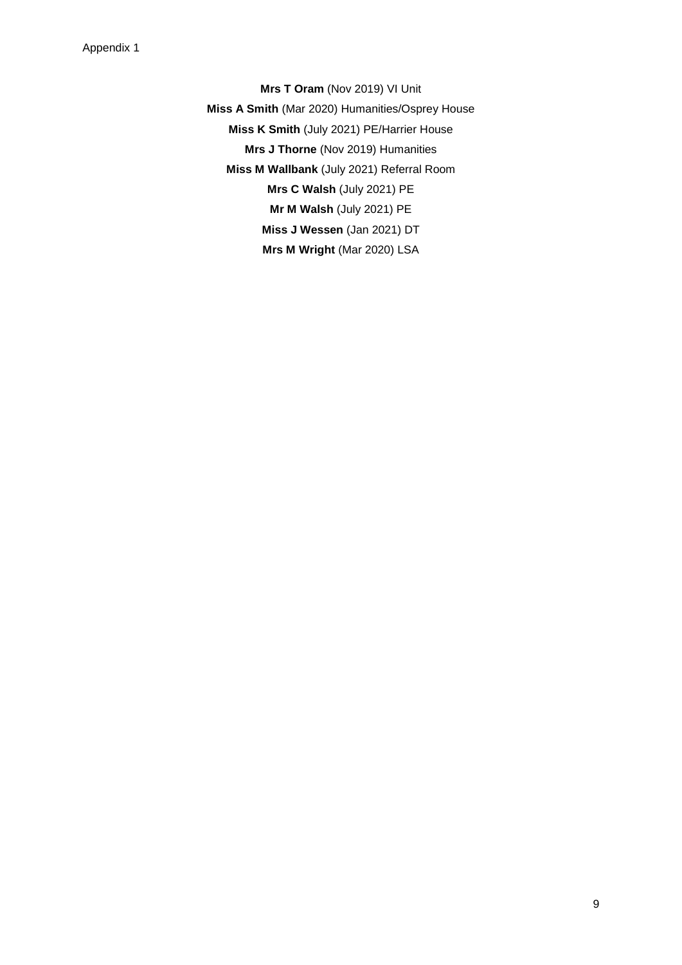**Mrs T Oram** (Nov 2019) VI Unit **Miss A Smith** (Mar 2020) Humanities/Osprey House **Miss K Smith** (July 2021) PE/Harrier House **Mrs J Thorne** (Nov 2019) Humanities **Miss M Wallbank** (July 2021) Referral Room **Mrs C Walsh** (July 2021) PE **Mr M Walsh** (July 2021) PE **Miss J Wessen** (Jan 2021) DT **Mrs M Wright** (Mar 2020) LSA